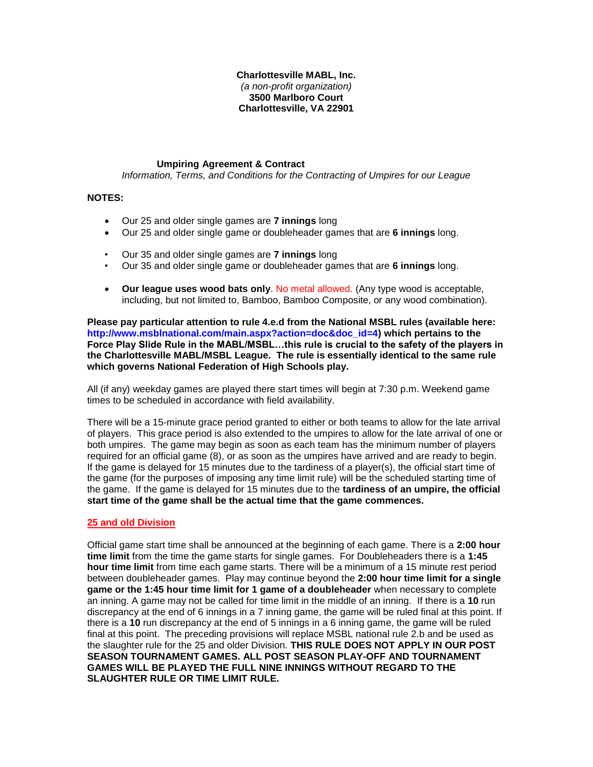## **Charlottesville MABL, Inc.** *(a non-profit organization)* **3500 Marlboro Court Charlottesville, VA 22901**

### **Umpiring Agreement & Contract**

*Information, Terms, and Conditions for the Contracting of Umpires for our League*

# **NOTES:**

- Our 25 and older single games are **7 innings** long
- Our 25 and older single game or doubleheader games that are **6 innings** long.
- Our 35 and older single games are **7 innings** long
- Our 35 and older single game or doubleheader games that are **6 innings** long.
- **Our league uses wood bats only**. No metal allowed. (Any type wood is acceptable, including, but not limited to, Bamboo, Bamboo Composite, or any wood combination).

**Please pay particular attention to rule 4.e.d from the National MSBL rules (available here: http://www.msblnational.com/main.aspx?action=doc&doc\_id=4) which pertains to the Force Play Slide Rule in the MABL/MSBL…this rule is crucial to the safety of the players in the Charlottesville MABL/MSBL League. The rule is essentially identical to the same rule which governs National Federation of High Schools play.**

All (if any) weekday games are played there start times will begin at 7:30 p.m. Weekend game times to be scheduled in accordance with field availability.

There will be a 15-minute grace period granted to either or both teams to allow for the late arrival of players. This grace period is also extended to the umpires to allow for the late arrival of one or both umpires. The game may begin as soon as each team has the minimum number of players required for an official game (8), or as soon as the umpires have arrived and are ready to begin. If the game is delayed for 15 minutes due to the tardiness of a player(s), the official start time of the game (for the purposes of imposing any time limit rule) will be the scheduled starting time of the game. If the game is delayed for 15 minutes due to the **tardiness of an umpire, the official start time of the game shall be the actual time that the game commences.**

## **25 and old Division**

Official game start time shall be announced at the beginning of each game. There is a **2:00 hour time limit** from the time the game starts for single games. For Doubleheaders there is a **1:45 hour time limit** from time each game starts. There will be a minimum of a 15 minute rest period between doubleheader games. Play may continue beyond the **2:00 hour time limit for a single game or the 1:45 hour time limit for 1 game of a doubleheader** when necessary to complete an inning. A game may not be called for time limit in the middle of an inning. If there is a **10** run discrepancy at the end of 6 innings in a 7 inning game, the game will be ruled final at this point. If there is a **10** run discrepancy at the end of 5 innings in a 6 inning game, the game will be ruled final at this point. The preceding provisions will replace MSBL national rule 2.b and be used as the slaughter rule for the 25 and older Division. **THIS RULE DOES NOT APPLY IN OUR POST SEASON TOURNAMENT GAMES. ALL POST SEASON PLAY-OFF AND TOURNAMENT GAMES WILL BE PLAYED THE FULL NINE INNINGS WITHOUT REGARD TO THE SLAUGHTER RULE OR TIME LIMIT RULE.**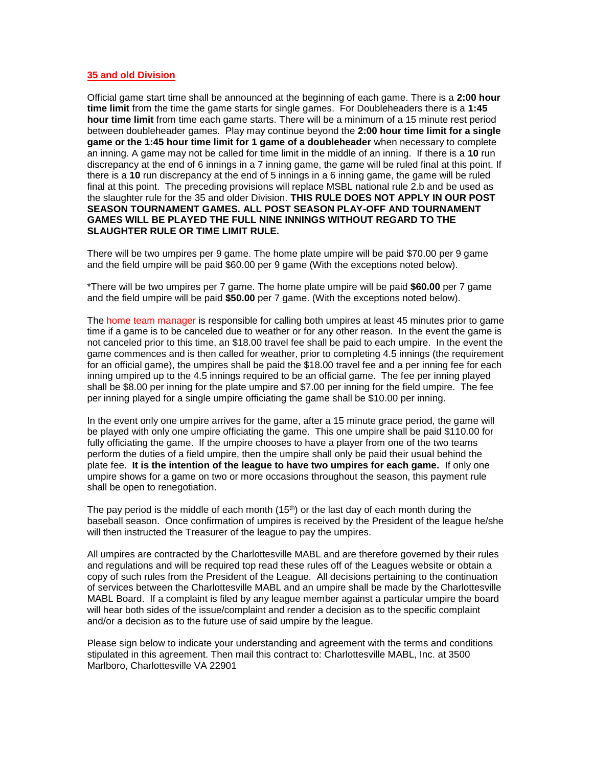#### **35 and old Division**

Official game start time shall be announced at the beginning of each game. There is a **2:00 hour time limit** from the time the game starts for single games. For Doubleheaders there is a **1:45 hour time limit** from time each game starts. There will be a minimum of a 15 minute rest period between doubleheader games. Play may continue beyond the **2:00 hour time limit for a single game or the 1:45 hour time limit for 1 game of a doubleheader** when necessary to complete an inning. A game may not be called for time limit in the middle of an inning. If there is a **10** run discrepancy at the end of 6 innings in a 7 inning game, the game will be ruled final at this point. If there is a **10** run discrepancy at the end of 5 innings in a 6 inning game, the game will be ruled final at this point. The preceding provisions will replace MSBL national rule 2.b and be used as the slaughter rule for the 35 and older Division. **THIS RULE DOES NOT APPLY IN OUR POST SEASON TOURNAMENT GAMES. ALL POST SEASON PLAY-OFF AND TOURNAMENT GAMES WILL BE PLAYED THE FULL NINE INNINGS WITHOUT REGARD TO THE SLAUGHTER RULE OR TIME LIMIT RULE.**

There will be two umpires per 9 game. The home plate umpire will be paid \$70.00 per 9 game and the field umpire will be paid \$60.00 per 9 game (With the exceptions noted below).

\*There will be two umpires per 7 game. The home plate umpire will be paid **\$60.00** per 7 game and the field umpire will be paid **\$50.00** per 7 game. (With the exceptions noted below).

The home team manager is responsible for calling both umpires at least 45 minutes prior to game time if a game is to be canceled due to weather or for any other reason. In the event the game is not canceled prior to this time, an \$18.00 travel fee shall be paid to each umpire. In the event the game commences and is then called for weather, prior to completing 4.5 innings (the requirement for an official game), the umpires shall be paid the \$18.00 travel fee and a per inning fee for each inning umpired up to the 4.5 innings required to be an official game. The fee per inning played shall be \$8.00 per inning for the plate umpire and \$7.00 per inning for the field umpire. The fee per inning played for a single umpire officiating the game shall be \$10.00 per inning.

In the event only one umpire arrives for the game, after a 15 minute grace period, the game will be played with only one umpire officiating the game. This one umpire shall be paid \$110.00 for fully officiating the game. If the umpire chooses to have a player from one of the two teams perform the duties of a field umpire, then the umpire shall only be paid their usual behind the plate fee. **It is the intention of the league to have two umpires for each game.** If only one umpire shows for a game on two or more occasions throughout the season, this payment rule shall be open to renegotiation.

The pay period is the middle of each month  $(15<sup>th</sup>)$  or the last day of each month during the baseball season. Once confirmation of umpires is received by the President of the league he/she will then instructed the Treasurer of the league to pay the umpires.

All umpires are contracted by the Charlottesville MABL and are therefore governed by their rules and regulations and will be required top read these rules off of the Leagues website or obtain a copy of such rules from the President of the League. All decisions pertaining to the continuation of services between the Charlottesville MABL and an umpire shall be made by the Charlottesville MABL Board. If a complaint is filed by any league member against a particular umpire the board will hear both sides of the issue/complaint and render a decision as to the specific complaint and/or a decision as to the future use of said umpire by the league.

Please sign below to indicate your understanding and agreement with the terms and conditions stipulated in this agreement. Then mail this contract to: Charlottesville MABL, Inc. at 3500 Marlboro, Charlottesville VA 22901